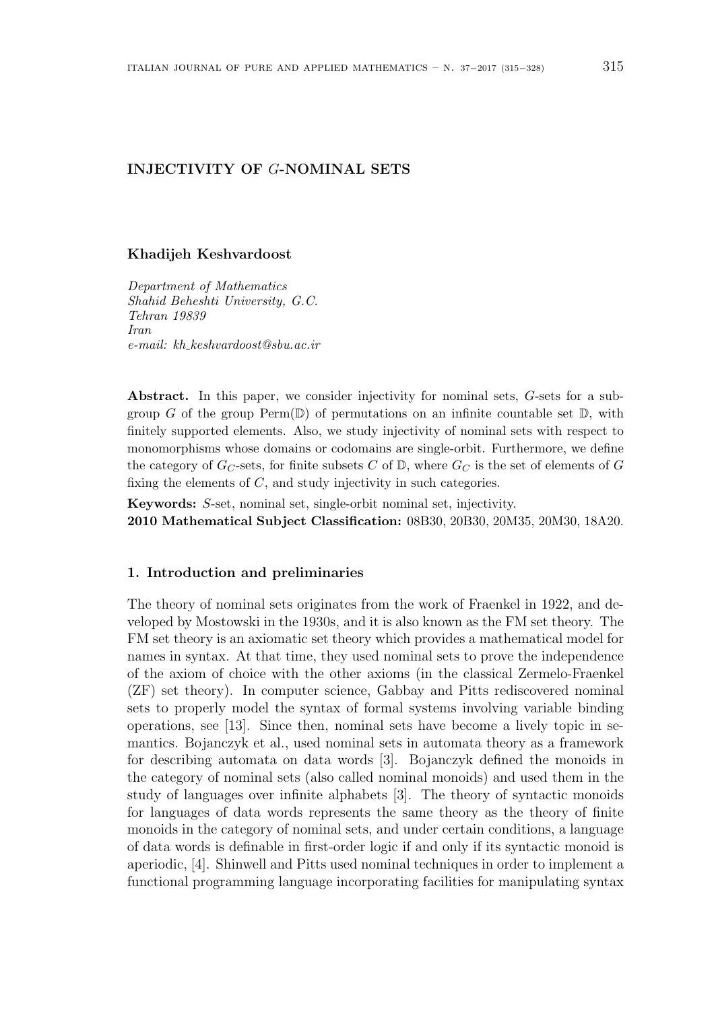# **INJECTIVITY OF** *G***-NOMINAL SETS**

#### **Khadijeh Keshvardoost**

*Department of Mathematics Shahid Beheshti University, G.C. Tehran 19839 Iran e-mail: kh keshvardoost@sbu.ac.ir*

**Abstract.** In this paper, we consider injectivity for nominal sets, *G*-sets for a subgroup *G* of the group  $\text{Perm}(\mathbb{D})$  of permutations on an infinite countable set  $\mathbb{D}$ , with finitely supported elements. Also, we study injectivity of nominal sets with respect to monomorphisms whose domains or codomains are single-orbit. Furthermore, we define the category of  $G_C$ -sets, for finite subsets  $C$  of  $\mathbb{D}$ , where  $G_C$  is the set of elements of  $G$ fixing the elements of *C*, and study injectivity in such categories.

**Keywords:** *S*-set, nominal set, single-orbit nominal set, injectivity.

**2010 Mathematical Subject Classification:** 08B30, 20B30, 20M35, 20M30, 18A20.

#### **1. Introduction and preliminaries**

The theory of nominal sets originates from the work of Fraenkel in 1922, and developed by Mostowski in the 1930s, and it is also known as the FM set theory. The FM set theory is an axiomatic set theory which provides a mathematical model for names in syntax. At that time, they used nominal sets to prove the independence of the axiom of choice with the other axioms (in the classical Zermelo-Fraenkel (ZF) set theory). In computer science, Gabbay and Pitts rediscovered nominal sets to properly model the syntax of formal systems involving variable binding operations, see [13]. Since then, nominal sets have become a lively topic in semantics. Bojanczyk et al., used nominal sets in automata theory as a framework for describing automata on data words [3]. Bojanczyk defined the monoids in the category of nominal sets (also called nominal monoids) and used them in the study of languages over infinite alphabets [3]. The theory of syntactic monoids for languages of data words represents the same theory as the theory of finite monoids in the category of nominal sets, and under certain conditions, a language of data words is definable in first-order logic if and only if its syntactic monoid is aperiodic, [4]. Shinwell and Pitts used nominal techniques in order to implement a functional programming language incorporating facilities for manipulating syntax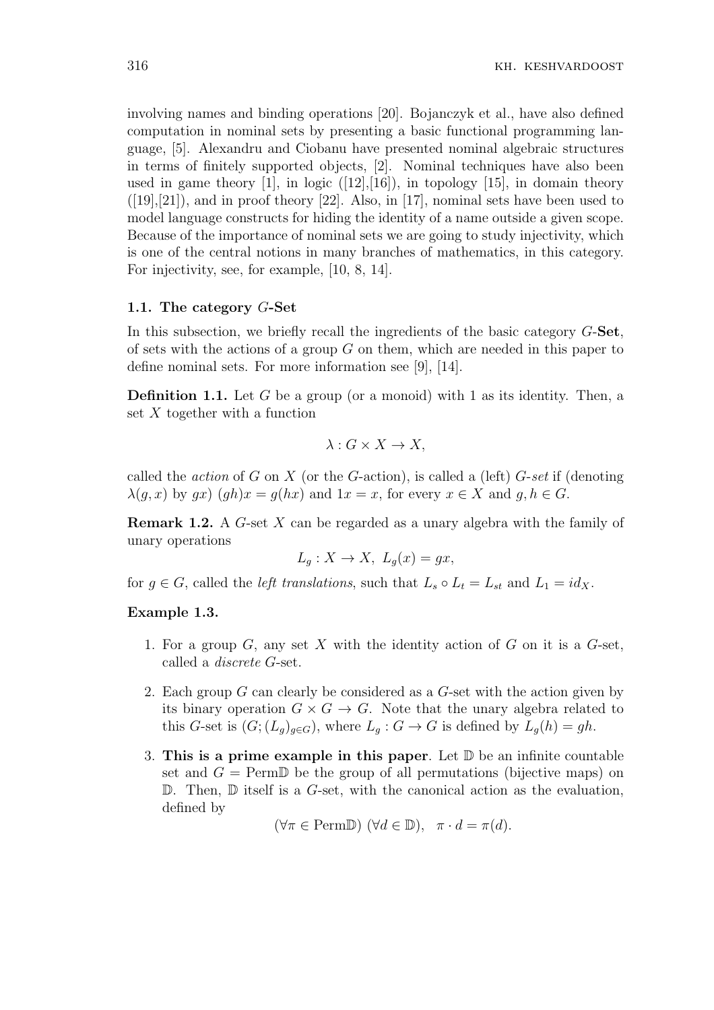involving names and binding operations [20]. Bojanczyk et al., have also defined computation in nominal sets by presenting a basic functional programming language, [5]. Alexandru and Ciobanu have presented nominal algebraic structures in terms of finitely supported objects, [2]. Nominal techniques have also been used in game theory  $[1]$ , in logic  $([12],[16])$ , in topology  $[15]$ , in domain theory  $([19],[21])$ , and in proof theory [22]. Also, in [17], nominal sets have been used to model language constructs for hiding the identity of a name outside a given scope. Because of the importance of nominal sets we are going to study injectivity, which is one of the central notions in many branches of mathematics, in this category. For injectivity, see, for example, [10, 8, 14].

# **1.1. The category** *G***-Set**

In this subsection, we briefly recall the ingredients of the basic category *G*-**Set**, of sets with the actions of a group *G* on them, which are needed in this paper to define nominal sets. For more information see [9], [14].

**Definition 1.1.** Let G be a group (or a monoid) with 1 as its identity. Then, a set *X* together with a function

$$
\lambda: G \times X \to X,
$$

called the *action* of *G* on *X* (or the *G*-action), is called a (left) *G*-*set* if (denoting  $\lambda(q, x)$  by  $qx$ )  $(qh)x = q(hx)$  and  $1x = x$ , for every  $x \in X$  and  $q, h \in G$ .

**Remark 1.2.** A *G*-set *X* can be regarded as a unary algebra with the family of unary operations

$$
L_g: X \to X, \ L_g(x) = gx,
$$

for  $g \in G$ , called the *left translations*, such that  $L_s \circ L_t = L_{st}$  and  $L_1 = id_X$ .

## **Example 1.3.**

- 1. For a group *G*, any set *X* with the identity action of *G* on it is a *G*-set, called a *discrete G*-set.
- 2. Each group *G* can clearly be considered as a *G*-set with the action given by its binary operation  $G \times G \to G$ . Note that the unary algebra related to this *G*-set is  $(G; (L_q)_{q \in G})$ , where  $L_q: G \to G$  is defined by  $L_q(h) = gh$ .
- 3. **This is a prime example in this paper**. Let D be an infinite countable set and  $G = \text{Perm}$  be the group of all permutations (bijective maps) on D. Then, D itself is a *G*-set, with the canonical action as the evaluation, defined by

 $(\forall \pi \in \text{PermD}) \ (\forall d \in \mathbb{D})$ ,  $\pi \cdot d = \pi(d)$ .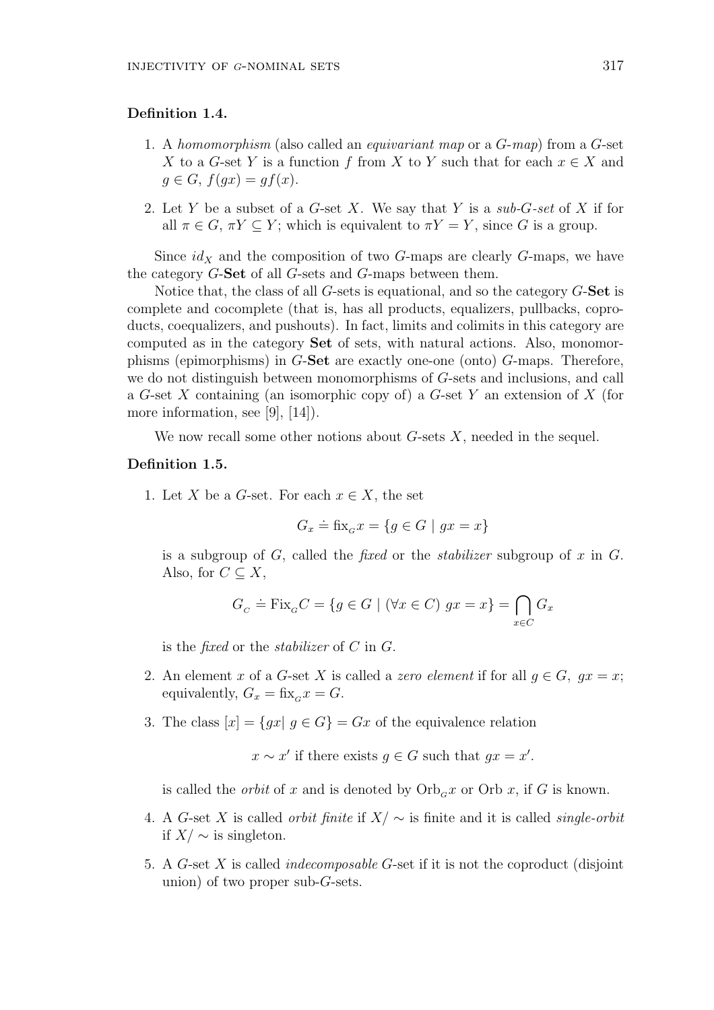# **Definition 1.4.**

- 1. A *homomorphism* (also called an *equivariant map* or a *G*-*map*) from a *G*-set *X* to a *G*-set *Y* is a function *f* from *X* to *Y* such that for each  $x \in X$  and  $g \in G$ ,  $f(gx) = gf(x)$ .
- 2. Let *Y* be a subset of a *G*-set *X*. We say that *Y* is a *sub-G-set* of *X* if for all  $\pi \in G$ ,  $\pi Y \subseteq Y$ ; which is equivalent to  $\pi Y = Y$ , since *G* is a group.

Since  $id_X$  and the composition of two *G*-maps are clearly *G*-maps, we have the category *G*-**Set** of all *G*-sets and *G*-maps between them.

Notice that, the class of all *G*-sets is equational, and so the category *G*-**Set** is complete and cocomplete (that is, has all products, equalizers, pullbacks, coproducts, coequalizers, and pushouts). In fact, limits and colimits in this category are computed as in the category **Set** of sets, with natural actions. Also, monomorphisms (epimorphisms) in *G*-**Set** are exactly one-one (onto) *G*-maps. Therefore, we do not distinguish between monomorphisms of *G*-sets and inclusions, and call a *G*-set *X* containing (an isomorphic copy of) a *G*-set *Y* an extension of *X* (for more information, see [9], [14]).

We now recall some other notions about *G*-sets *X*, needed in the sequel.

## **Definition 1.5.**

1. Let *X* be a *G*-set. For each  $x \in X$ , the set

$$
G_x \doteq \text{fix}_G x = \{ g \in G \mid gx = x \}
$$

is a subgroup of *G*, called the *fixed* or the *stabilizer* subgroup of *x* in *G*. Also, for  $C \subseteq X$ ,

$$
G_C \doteq \text{Fix}_G C = \{ g \in G \mid (\forall x \in C) \ gx = x \} = \bigcap_{x \in C} G_x
$$

is the *fixed* or the *stabilizer* of *C* in *G*.

- 2. An element *x* of a *G*-set *X* is called a *zero element* if for all  $q \in G$ ,  $qx = x$ ; equivalently,  $G_x = f\text{fix}_G x = G$ .
- 3. The class  $[x] = \{gx | g \in G\} = Gx$  of the equivalence relation

 $x \sim x'$  if there exists  $g \in G$  such that  $gx = x'$ .

is called the *orbit* of x and is denoted by  $Orb<sub>G</sub>x$  or  $Orb x$ , if G is known.

- 4. A *G*-set *X* is called *orbit finite* if *X/ ∼* is finite and it is called *single-orbit* if *X/ ∼* is singleton.
- 5. A *G*-set *X* is called *indecomposable G*-set if it is not the coproduct (disjoint union) of two proper sub-*G*-sets.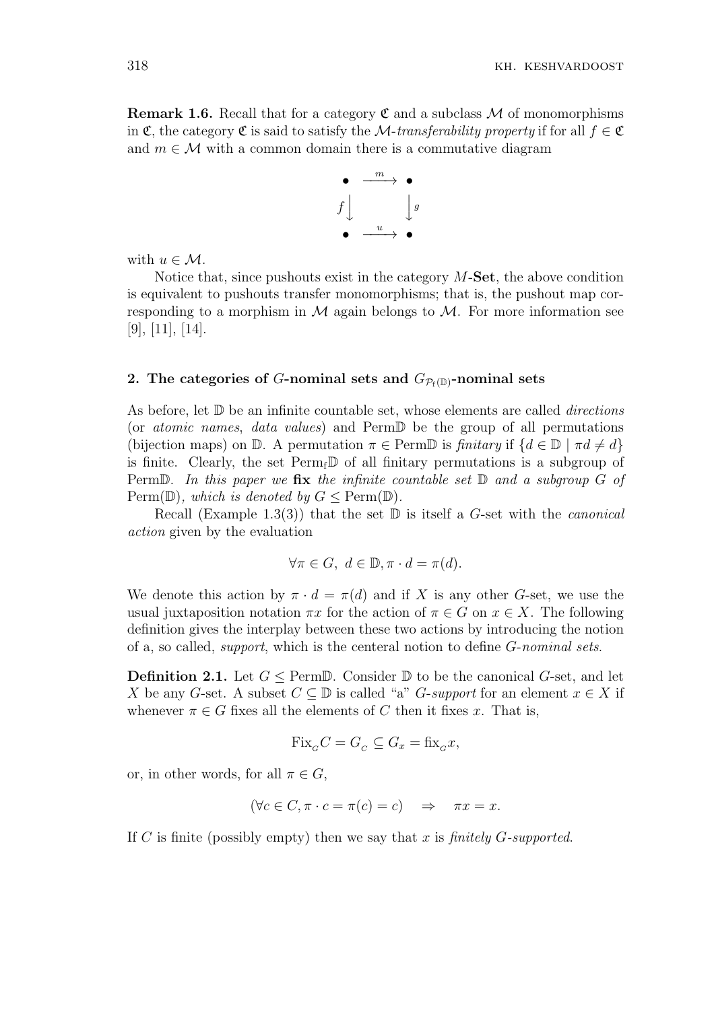**Remark 1.6.** Recall that for a category  $\mathfrak{C}$  and a subclass  $\mathcal M$  of monomorphisms in C, the category C is said to satisfy the *M*-*transferability property* if for all  $f \in \mathfrak{C}$ and  $m \in \mathcal{M}$  with a common domain there is a commutative diagram



with  $u \in \mathcal{M}$ .

Notice that, since pushouts exist in the category *M*-**Set**, the above condition is equivalent to pushouts transfer monomorphisms; that is, the pushout map corresponding to a morphism in  $M$  again belongs to  $M$ . For more information see [9], [11], [14].

# **2.** The categories of *G***-nominal sets and**  $G_{\mathcal{P}_f(\mathbb{D})}$ **-nominal sets**

As before, let D be an infinite countable set, whose elements are called *directions* (or *atomic names*, *data values*) and PermD be the group of all permutations (bijection maps) on D. A permutation  $\pi \in \text{PermD}$  is *finitary* if  $\{d \in \mathbb{D} \mid \pi d \neq d\}$ is finite. Clearly, the set  $\text{Perm}_{f}$  of all finitary permutations is a subgroup of PermD. *In this paper we* **fix** *the infinite countable set* D *and a subgroup G of*  $\text{Perm}(\mathbb{D})$ *, which is denoted by*  $G \leq \text{Perm}(\mathbb{D})$ *.* 

Recall (Example 1.3(3)) that the set D is itself a *G*-set with the *canonical action* given by the evaluation

$$
\forall \pi \in G, \ d \in \mathbb{D}, \pi \cdot d = \pi(d).
$$

We denote this action by  $\pi \cdot d = \pi(d)$  and if X is any other *G*-set, we use the usual juxtaposition notation  $\pi x$  for the action of  $\pi \in G$  on  $x \in X$ . The following definition gives the interplay between these two actions by introducing the notion of a, so called, *support*, which is the centeral notion to define *G*-*nominal sets*.

**Definition 2.1.** Let *G ≤* PermD. Consider D to be the canonical *G*-set, and let *X* be any *G*-set. A subset  $C \subseteq \mathbb{D}$  is called "a" *G*-*support* for an element  $x \in X$  if whenever  $\pi \in G$  fixes all the elements of *C* then it fixes *x*. That is,

$$
\text{Fix}_{{}_G}C = G_{{}_C} \subseteq G_x = \text{fix}_{{}_G}x,
$$

or, in other words, for all  $\pi \in G$ ,

$$
(\forall c \in C, \pi \cdot c = \pi(c) = c) \Rightarrow \pi x = x.
$$

If *C* is finite (possibly empty) then we say that *x* is *finitely G-supported*.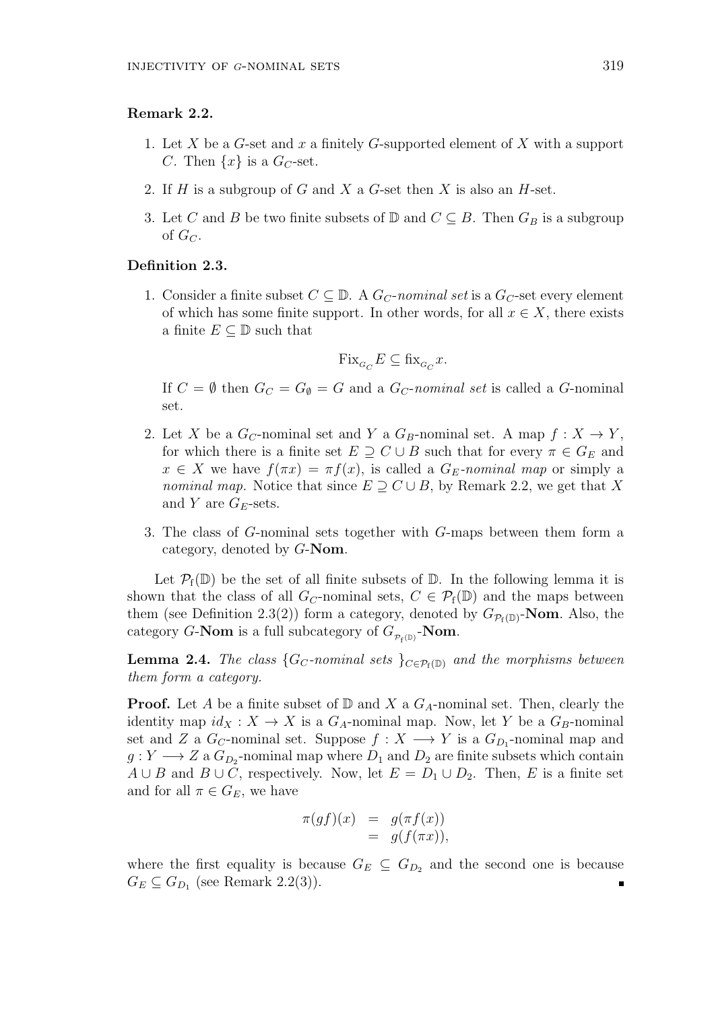#### **Remark 2.2.**

- 1. Let *X* be a *G*-set and *x* a finitely *G*-supported element of *X* with a support *C*. Then  $\{x\}$  is a  $G_C$ -set.
- 2. If *H* is a subgroup of *G* and *X* a *G*-set then *X* is also an *H*-set.
- 3. Let *C* and *B* be two finite subsets of  $\mathbb{D}$  and  $C \subseteq B$ . Then  $G_B$  is a subgroup of  $G_C$ .

#### **Definition 2.3.**

1. Consider a finite subset  $C \subseteq \mathbb{D}$ . A  $G_C$ -*nominal set* is a  $G_C$ -set every element of which has some finite support. In other words, for all  $x \in X$ , there exists a finite  $E \subseteq \mathbb{D}$  such that

$$
\text{Fix}_{\mathcal{G}_C}E\subseteq \text{fix}_{\mathcal{G}_C}x.
$$

If  $C = \emptyset$  then  $G_C = G_{\emptyset} = G$  and a  $G_C$ -*nominal set* is called a *G*-nominal set.

- 2. Let *X* be a  $G_C$ -nominal set and *Y* a  $G_B$ -nominal set. A map  $f: X \to Y$ , for which there is a finite set  $E \supseteq C \cup B$  such that for every  $\pi \in G_E$  and  $x \in X$  we have  $f(\pi x) = \pi f(x)$ , is called a  $G_E$ -*nominal map* or simply a *nominal map.* Notice that since  $E \supseteq C \cup B$ , by Remark 2.2, we get that *X* and *Y* are  $G_E$ -sets.
- 3. The class of *G*-nominal sets together with *G*-maps between them form a category, denoted by *G*-**Nom**.

Let  $\mathcal{P}_f(\mathbb{D})$  be the set of all finite subsets of  $\mathbb{D}$ . In the following lemma it is shown that the class of all  $G_C$ -nominal sets,  $C \in \mathcal{P}_f(\mathbb{D})$  and the maps between them (see Definition 2.3(2)) form a category, denoted by  $G_{\mathcal{P}_{f}(\mathbb{D})}$ -**Nom**. Also, the category *G*-**Nom** is a full subcategory of  $G_{p_f(p)}$ -**Nom**.

**Lemma 2.4.** *The class*  ${G_C$ *-nominal sets*  ${G_C}$  $P_f(p)$  *and the morphisms between them form a category.*

**Proof.** Let *A* be a finite subset of  $\mathbb{D}$  and *X* a  $G_A$ -nominal set. Then, clearly the identity map  $id_X : X \to X$  is a  $G_A$ -nominal map. Now, let *Y* be a  $G_B$ -nominal set and *Z* a  $G_C$ -nominal set. Suppose  $f: X \longrightarrow Y$  is a  $G_{D_1}$ -nominal map and  $g: Y \longrightarrow Z$  a  $G_{D_2}$ -nominal map where  $D_1$  and  $D_2$  are finite subsets which contain *A* ∪ *B* and *B* ∪ *C*, respectively. Now, let  $E = D_1 \cup D_2$ . Then, *E* is a finite set and for all  $\pi \in G_E$ , we have

$$
\pi(gf)(x) = g(\pi f(x))
$$
  
=  $g(f(\pi x)),$ 

where the first equality is because  $G_E \subseteq G_{D_2}$  and the second one is because  $G_E \subseteq G_{D_1}$  (see Remark 2.2(3)).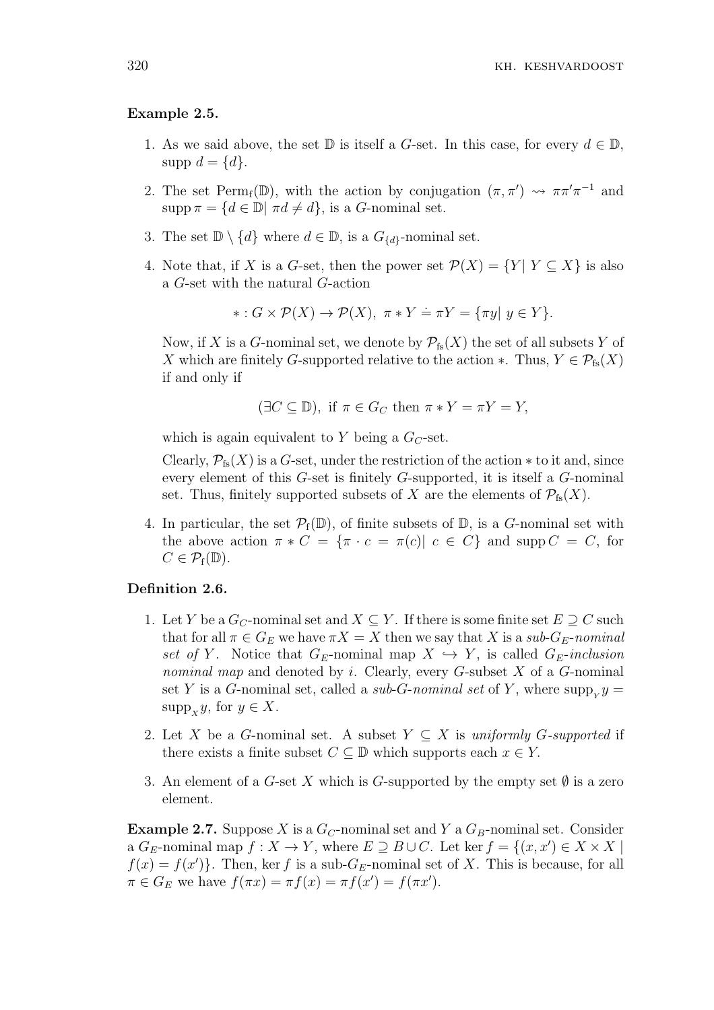## **Example 2.5.**

- 1. As we said above, the set  $\mathbb D$  is itself a *G*-set. In this case, for every  $d \in \mathbb D$ , supp  $d = \{d\}$ .
- 2. The set Perm<sub>f</sub>( $\mathbb{D}$ ), with the action by conjugation  $(\pi, \pi') \rightsquigarrow \pi \pi' \pi^{-1}$  and supp  $\pi = \{d \in \mathbb{D} | \pi d \neq d\}$ , is a *G*-nominal set.
- 3. The set  $\mathbb{D} \setminus \{d\}$  where  $d \in \mathbb{D}$ , is a  $G_{\{d\}}$ -nominal set.
- 4. Note that, if *X* is a *G*-set, then the power set  $\mathcal{P}(X) = \{Y | Y \subseteq X\}$  is also a *G*-set with the natural *G*-action

$$
*: G \times \mathcal{P}(X) \to \mathcal{P}(X), \ \pi * Y \doteq \pi Y = \{\pi y | y \in Y\}.
$$

Now, if *X* is a *G*-nominal set, we denote by  $\mathcal{P}_{fs}(X)$  the set of all subsets *Y* of *X* which are finitely *G*-supported relative to the action  $*$ . Thus,  $Y \in \mathcal{P}_{fs}(X)$ if and only if

$$
(\exists C \subseteq \mathbb{D})
$$
, if  $\pi \in G_C$  then  $\pi * Y = \pi Y = Y$ ,

which is again equivalent to  $Y$  being a  $G_C$ -set.

Clearly,  $\mathcal{P}_{fs}(X)$  is a *G*-set, under the restriction of the action  $*$  to it and, since every element of this *G*-set is finitely *G*-supported, it is itself a *G*-nominal set. Thus, finitely supported subsets of *X* are the elements of  $\mathcal{P}_{fs}(X)$ .

4. In particular, the set  $\mathcal{P}_f(\mathbb{D})$ , of finite subsets of  $\mathbb{D}$ , is a *G*-nominal set with the above action  $\pi * C = {\pi \cdot c = \pi(c) | c \in C}$  and supp  $C = C$ , for  $C \in \mathcal{P}_{f}(\mathbb{D}).$ 

## **Definition 2.6.**

- 1. Let *Y* be a  $G_C$ -nominal set and  $X \subseteq Y$ . If there is some finite set  $E \supseteq C$  such that for all  $\pi \in G_E$  we have  $\pi X = X$  then we say that X is a sub- $G_E$ -nominal *set of Y*. Notice that  $G_E$ -nominal map  $X \hookrightarrow Y$ , is called  $G_E$ -*inclusion nominal map* and denoted by *i*. Clearly, every *G*-subset *X* of a *G*-nominal set *Y* is a *G*-nominal set, called a *sub-G-nominal set* of *Y*, where  $\text{supp}_y y =$ supp<sub>*x*</sub></sub> $y$ , for  $y \in X$ .
- 2. Let *X* be a *G*-nominal set. A subset  $Y \subseteq X$  is *uniformly G-supported* if there exists a finite subset  $C \subseteq \mathbb{D}$  which supports each  $x \in Y$ .
- 3. An element of a *G*-set *X* which is *G*-supported by the empty set  $\emptyset$  is a zero element.

**Example 2.7.** Suppose *X* is a *GC*-nominal set and *Y* a *GB*-nominal set. Consider a  $G_E$ -nominal map  $f: X \to Y$ , where  $E \supseteq B \cup C$ . Let ker  $f = \{(x, x') \in X \times X \mid$  $f(x) = f(x')$ . Then, ker *f* is a sub-*G<sub>E</sub>*-nominal set of *X*. This is because, for all  $\pi \in G_E$  we have  $f(\pi x) = \pi f(x) = \pi f(x') = f(\pi x')$ .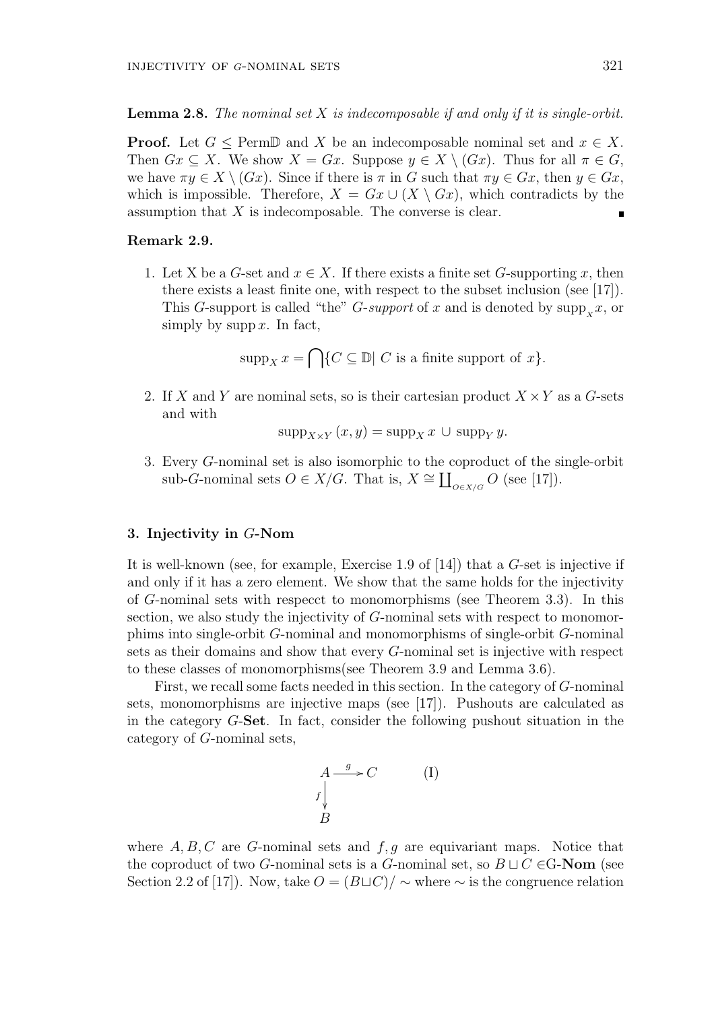#### **Lemma 2.8.** *The nominal set X is indecomposable if and only if it is single-orbit.*

**Proof.** Let  $G \leq \text{Perm} \mathbb{D}$  and *X* be an indecomposable nominal set and  $x \in X$ . Then  $Gx \subseteq X$ . We show  $X = Gx$ . Suppose  $y \in X \setminus (Gx)$ . Thus for all  $\pi \in G$ , we have  $\pi y \in X \setminus (Gx)$ . Since if there is  $\pi$  in *G* such that  $\pi y \in Gx$ , then  $y \in Gx$ , which is impossible. Therefore,  $X = Gx \cup (X \setminus Gx)$ , which contradicts by the assumption that *X* is indecomposable. The converse is clear.  $\blacksquare$ 

# **Remark 2.9.**

1. Let X be a *G*-set and  $x \in X$ . If there exists a finite set *G*-supporting *x*, then there exists a least finite one, with respect to the subset inclusion (see [17]). This *G*-support is called "the" *G*-*support* of *x* and is denoted by  $\sup_{X} x$ , or simply by supp  $x$ . In fact,

$$
supp_X x = \bigcap \{ C \subseteq \mathbb{D} | C \text{ is a finite support of } x \}.
$$

2. If *X* and *Y* are nominal sets, so is their cartesian product *X ×Y* as a *G*-sets and with

$$
supp_{X\times Y}(x,y)= supp_X x\,\cup\, supp_Y y.
$$

3. Every *G*-nominal set is also isomorphic to the coproduct of the single-orbit sub-*G*-nominal sets  $O \in X/G$ . That is,  $X \cong \coprod_{O \in X/G} O$  (see [17]).

# **3. Injectivity in** *G***-Nom**

It is well-known (see, for example, Exercise 1.9 of [14]) that a *G*-set is injective if and only if it has a zero element. We show that the same holds for the injectivity of *G*-nominal sets with respecct to monomorphisms (see Theorem 3.3). In this section, we also study the injectivity of *G*-nominal sets with respect to monomorphims into single-orbit *G*-nominal and monomorphisms of single-orbit *G*-nominal sets as their domains and show that every *G*-nominal set is injective with respect to these classes of monomorphisms(see Theorem 3.9 and Lemma 3.6).

First, we recall some facts needed in this section. In the category of *G*-nominal sets, monomorphisms are injective maps (see [17]). Pushouts are calculated as in the category *G*-**Set**. In fact, consider the following pushout situation in the category of *G*-nominal sets,

$$
A \xrightarrow{g} C \qquad \qquad (I)
$$
  

$$
f \downarrow_{B}
$$

where  $A, B, C$  are  $G$ -nominal sets and  $f, g$  are equivariant maps. Notice that the coproduct of two *G*-nominal sets is a *G*-nominal set, so  $B \sqcup C \in G$ -**Nom** (see Section 2.2 of [17]). Now, take  $O = (B \sqcup C)/\sim$  where  $\sim$  is the congruence relation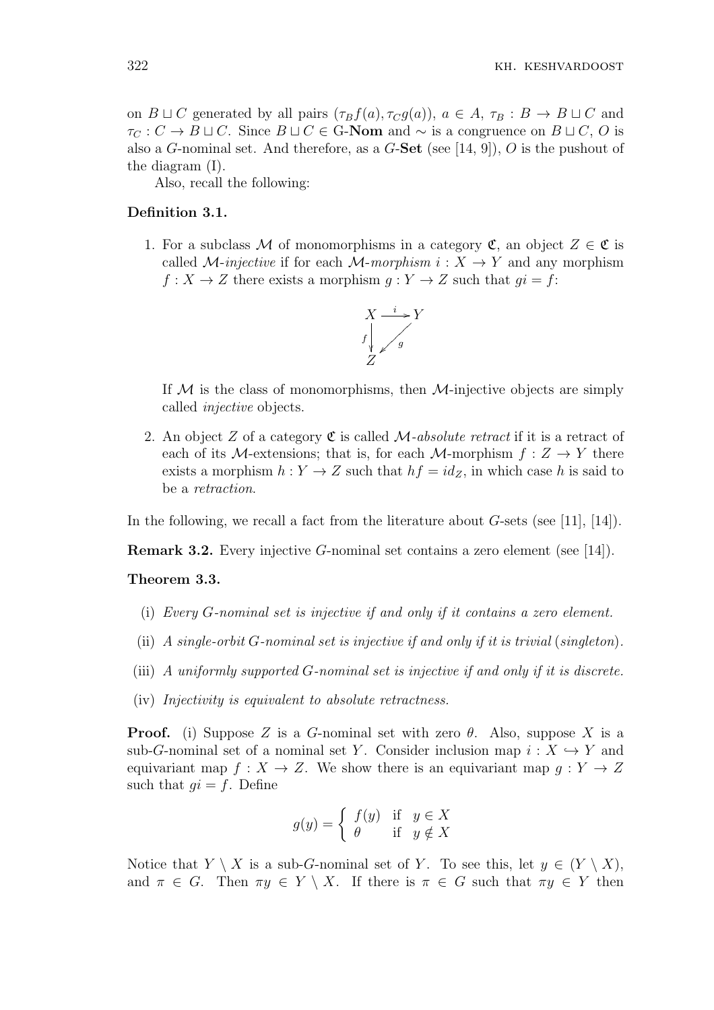on  $B \sqcup C$  generated by all pairs  $(\tau_B f(a), \tau_C g(a))$ ,  $a \in A$ ,  $\tau_B : B \to B \sqcup C$  and  $\tau_C$  :  $C \to B \sqcup C$ . Since  $B \sqcup C \in G$ -**Nom** and  $\sim$  is a congruence on  $B \sqcup C$ , *O* is also a *G*-nominal set. And therefore, as a *G*-**Set** (see [14, 9]), *O* is the pushout of the diagram (I).

Also, recall the following:

## **Definition 3.1.**

1. For a subclass M of monomorphisms in a category  $\mathfrak{C}$ , an object  $Z \in \mathfrak{C}$  is called *M*-injective if for each *M*-morphism  $i: X \rightarrow Y$  and any morphism  $f: X \to Z$  there exists a morphism  $g: Y \to Z$  such that  $gi = f$ :



If *M* is the class of monomorphisms, then *M*-injective objects are simply called *injective* objects.

2. An object *Z* of a category C is called *M-absolute retract* if it is a retract of each of its *M*-extensions; that is, for each *M*-morphism  $f: Z \rightarrow Y$  there exists a morphism  $h: Y \to Z$  such that  $hf = id_Z$ , in which case *h* is said to be a *retraction*.

In the following, we recall a fact from the literature about *G*-sets (see [11], [14]).

**Remark 3.2.** Every injective *G*-nominal set contains a zero element (see [14]).

### **Theorem 3.3.**

- (i) *Every G-nominal set is injective if and only if it contains a zero element.*
- (ii) *A single-orbit G-nominal set is injective if and only if it is trivial* (*singleton*)*.*
- (iii) *A uniformly supported G-nominal set is injective if and only if it is discrete.*
- (iv) *Injectivity is equivalent to absolute retractness.*

**Proof.** (i) Suppose *Z* is a *G*-nominal set with zero  $\theta$ . Also, suppose *X* is a sub-*G*-nominal set of a nominal set *Y*. Consider inclusion map  $i: X \hookrightarrow Y$  and equivariant map  $f: X \to Z$ . We show there is an equivariant map  $q: Y \to Z$ such that  $qi = f$ . Define

$$
g(y) = \begin{cases} f(y) & \text{if } y \in X \\ \theta & \text{if } y \notin X \end{cases}
$$

Notice that *Y*  $\setminus$  *X* is a sub-*G*-nominal set of *Y*. To see this, let  $y \in (Y \setminus X)$ , and  $\pi \in G$ . Then  $\pi y \in Y \setminus X$ . If there is  $\pi \in G$  such that  $\pi y \in Y$  then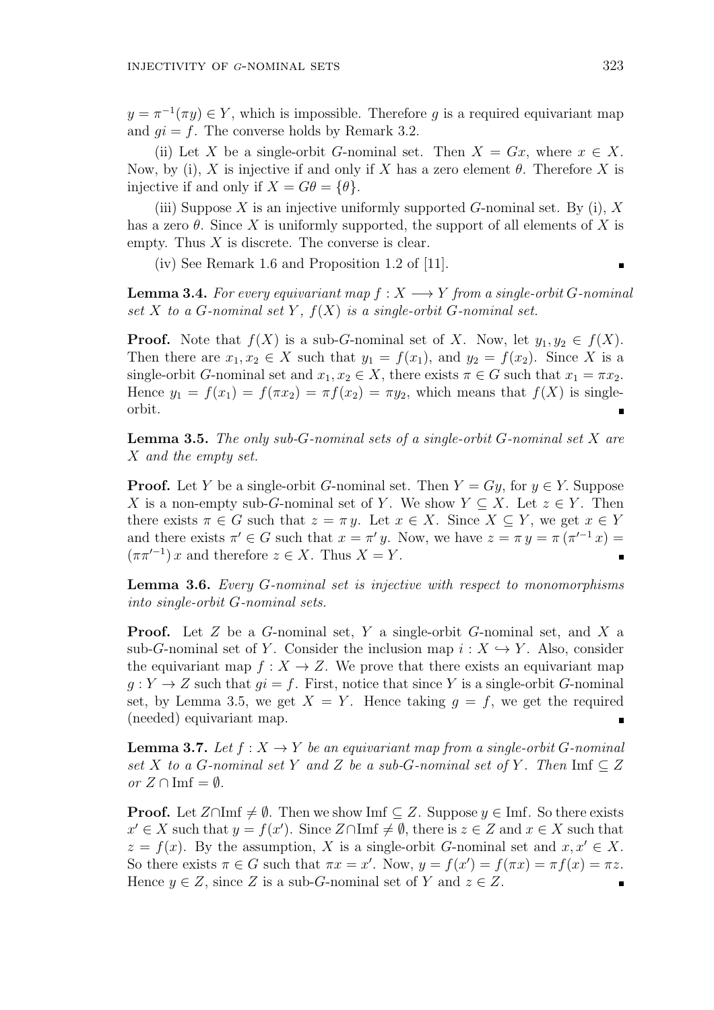$y = \pi^{-1}(\pi y) \in Y$ , which is impossible. Therefore *g* is a required equivariant map and  $qi = f$ . The converse holds by Remark 3.2.

(ii) Let X be a single-orbit *G*-nominal set. Then  $X = Gx$ , where  $x \in X$ . Now, by (i), *X* is injective if and only if *X* has a zero element  $\theta$ . Therefore *X* is injective if and only if  $X = G\theta = {\theta}.$ 

(iii) Suppose *X* is an injective uniformly supported *G*-nominal set. By (i), *X* has a zero  $\theta$ . Since X is uniformly supported, the support of all elements of X is empty. Thus *X* is discrete. The converse is clear.

(iv) See Remark 1.6 and Proposition 1.2 of [11].

**Lemma 3.4.** For every equivariant map  $f: X \longrightarrow Y$  from a single-orbit *G*-nominal set  $X$  to a  $G$ -nominal set  $Y$ ,  $f(X)$  is a single-orbit  $G$ -nominal set.

**Proof.** Note that  $f(X)$  is a sub-*G*-nominal set of *X*. Now, let  $y_1, y_2 \in f(X)$ . Then there are  $x_1, x_2 \in X$  such that  $y_1 = f(x_1)$ , and  $y_2 = f(x_2)$ . Since X is a single-orbit *G*-nominal set and  $x_1, x_2 \in X$ , there exists  $\pi \in G$  such that  $x_1 = \pi x_2$ . Hence  $y_1 = f(x_1) = f(\pi x_2) = \pi f(x_2) = \pi y_2$ , which means that  $f(X)$  is singleorbit.

**Lemma 3.5.** *The only sub-G-nominal sets of a single-orbit G-nominal set X are X and the empty set.*

**Proof.** Let *Y* be a single-orbit *G*-nominal set. Then  $Y = Gy$ , for  $y \in Y$ . Suppose *X* is a non-empty sub-*G*-nominal set of *Y*. We show  $Y \subseteq X$ . Let  $z \in Y$ . Then there exists  $\pi \in G$  such that  $z = \pi y$ . Let  $x \in X$ . Since  $X \subseteq Y$ , we get  $x \in Y$ and there exists  $\pi' \in G$  such that  $x = \pi' y$ . Now, we have  $z = \pi y = \pi (\pi'^{-1} x)$  $(\pi \pi'^{-1}) x$  and therefore  $z \in X$ . Thus  $X = Y$ .

**Lemma 3.6.** *Every G-nominal set is injective with respect to monomorphisms into single-orbit G-nominal sets.*

**Proof.** Let *Z* be a *G*-nominal set, *Y* a single-orbit *G*-nominal set, and *X* a sub-*G*-nominal set of *Y*. Consider the inclusion map  $i: X \hookrightarrow Y$ . Also, consider the equivariant map  $f: X \to Z$ . We prove that there exists an equivariant map  $g: Y \to Z$  such that  $gi = f$ . First, notice that since *Y* is a single-orbit *G*-nominal set, by Lemma 3.5, we get  $X = Y$ . Hence taking  $q = f$ , we get the required (needed) equivariant map.

**Lemma 3.7.** *Let*  $f: X \to Y$  *be an equivariant map from a single-orbit G*-nominal *set X to a G-nominal set Y and Z be a sub-G-nominal set of Y*. Then Imf  $\subseteq$  *Z or*  $Z$  ∩ Imf =  $\emptyset$ *.* 

**Proof.** Let  $Z \cap \text{Im} f \neq \emptyset$ . Then we show Imf ⊂  $Z$ . Suppose  $y \in \text{Im} f$ . So there exists  $x' \in X$  such that  $y = f(x')$ . Since  $Z \cap \text{Im} f \neq \emptyset$ , there is  $z \in Z$  and  $x \in X$  such that  $z = f(x)$ . By the assumption, *X* is a single-orbit *G*-nominal set and  $x, x' \in X$ . So there exists  $\pi \in G$  such that  $\pi x = x'$ . Now,  $y = f(x') = f(\pi x) = \pi f(x) = \pi z$ . Hence  $y \in Z$ , since *Z* is a sub-*G*-nominal set of *Y* and  $z \in Z$ .  $\blacksquare$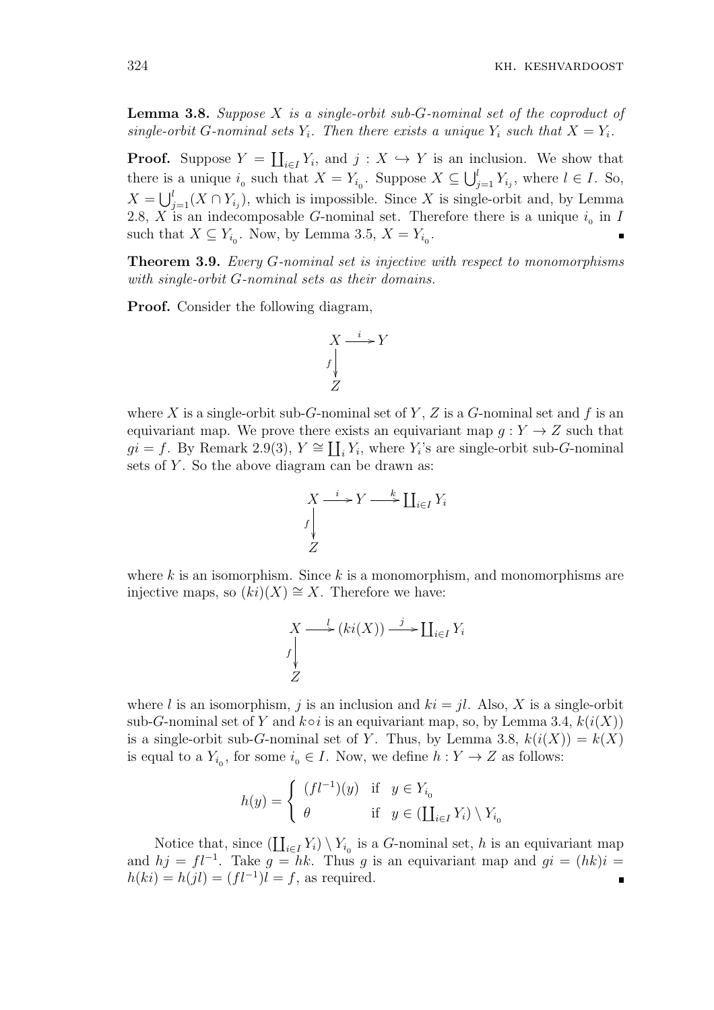**Lemma 3.8.** *Suppose X is a single-orbit sub-G-nominal set of the coproduct of single-orbit G*-nominal sets  $Y_i$ *. Then there exists a unique*  $Y_i$  *such that*  $X = Y_i$ *.* 

**Proof.** Suppose  $Y = \coprod_{i \in I} Y_i$ , and  $j : X \hookrightarrow Y$  is an inclusion. We show that there is a unique  $i_0$  such that  $X = Y_{i_0}$ . Suppose  $X \subseteq \bigcup_{j=1}^{l} Y_{i_j}$ , where  $l \in I$ . So,  $X = \bigcup_{j=1}^{l} (X \cap Y_{i_j})$ , which is impossible. Since *X* is single-orbit and, by Lemma 2.8, *X* is an indecomposable *G*-nominal set. Therefore there is a unique  $i_0$  in *I* such that  $X \subseteq Y_{i_0}$ . Now, by Lemma 3.5,  $X = Y_{i_0}$ .

**Theorem 3.9.** *Every G-nominal set is injective with respect to monomorphisms with single-orbit G-nominal sets as their domains.*

**Proof.** Consider the following diagram,



where X is a single-orbit sub-*G*-nominal set of Y, Z is a *G*-nominal set and f is an equivariant map. We prove there exists an equivariant map  $g: Y \to Z$  such that  $gi = f$ . By Remark 2.9(3),  $Y \cong \coprod_i Y_i$ , where  $Y_i$ 's are single-orbit sub-*G*-nominal sets of Y. So the above diagram can be drawn as:

$$
X \xrightarrow{i} Y \xrightarrow{k} \coprod_{i \in I} Y_i
$$
  

$$
Z
$$

where *k* is an isomorphism. Since *k* is a monomorphism, and monomorphisms are injective maps, so (*ki*)(*X*) *∼*= *X*. Therefore we have:

$$
X \longrightarrow \underset{Z}{\longrightarrow} (ki(X)) \longrightarrow \coprod_{i \in I} Y_i
$$

where *l* is an isomorphism, *j* is an inclusion and  $ki = il$ . Also, *X* is a single-orbit sub-*G*-nominal set of *Y* and  $k \circ i$  is an equivariant map, so, by Lemma 3.4,  $k(i(X))$ is a single-orbit sub-*G*-nominal set of *Y*. Thus, by Lemma 3.8,  $k(i(X)) = k(X)$ is equal to a  $Y_{i_0}$ , for some  $i_0 \in I$ . Now, we define  $h: Y \to Z$  as follows:

$$
h(y) = \left\{ \begin{array}{lcl} (fl^{-1})(y) & \text{if} & y \in Y_{i_0} \\ \theta & & \text{if} & y \in (\coprod_{i \in I} Y_i) \setminus Y_{i_0} \end{array} \right.
$$

Notice that, since  $(\coprod_{i\in I} Y_i) \setminus Y_{i_0}$  is a *G*-nominal set, *h* is an equivariant map and  $hj = fl^{-1}$ . Take  $g = hk$ . Thus *g* is an equivariant map and  $gi = (hk)i$  $h(ki) = h(jl) = (fl^{-1})l = f$ , as required.  $\blacksquare$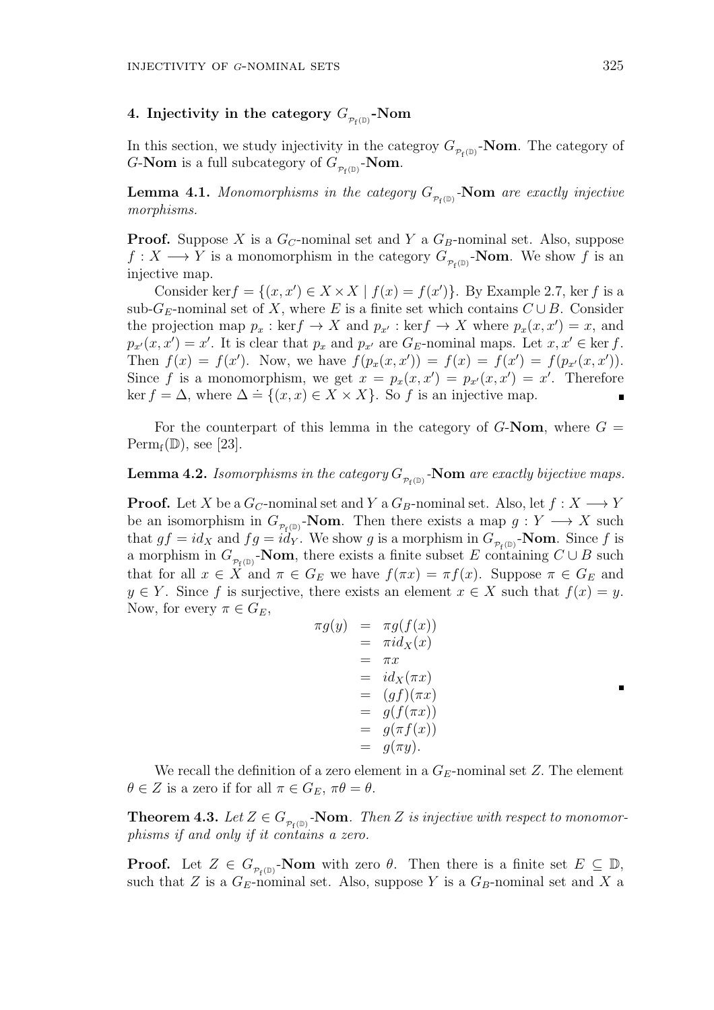# $4.$  Injectivity in the category  $G_{_{\mathcal{P}_\mathrm{f}(\mathbb{D})}}\text{-}\mathrm{Nom}$

In this section, we study injectivity in the categroy  $G_{\mathcal{P}_{f}(\mathbb{D})}$ -**Nom**. The category of *G*-**Nom** is a full subcategory of  $G_{\mathcal{P}_{f}(\mathbb{D})}$ -**Nom**.

**Lemma 4.1.** *Monomorphisms in the category*  $G_{p_f(\mathbb{D})}$ -**Nom** are exactly injective *morphisms.*

**Proof.** Suppose *X* is a *GC*-nominal set and *Y* a *GB*-nominal set. Also, suppose  $f: X \longrightarrow Y$  is a monomorphism in the category  $G_{p_f(\mathbb{D})}$ -**Nom**. We show f is an injective map.

Consider ker $f = \{(x, x') \in X \times X \mid f(x) = f(x')\}$ . By Example 2.7, ker *f* is a sub- $G_E$ -nominal set of *X*, where *E* is a finite set which contains  $C \cup B$ . Consider the projection map  $p_x$ : ker $f \to X$  and  $p_{x'}$ : ker $f \to X$  where  $p_x(x, x') = x$ , and  $p_{x'}(x, x') = x'$ . It is clear that  $p_x$  and  $p_{x'}$  are  $G_E$ -nominal maps. Let  $x, x' \in \text{ker } f$ . Then  $f(x) = f(x')$ . Now, we have  $f(p_x(x, x')) = f(x) = f(x') = f(p_{x'}(x, x'))$ . Since f is a monomorphism, we get  $x = p_x(x, x') = p_{x'}(x, x') = x'$ . Therefore ker *f* = ∆, where  $\Delta = \{(x, x) \in X \times X\}$ . So *f* is an injective map.

For the counterpart of this lemma in the category of  $G$ -**Nom**, where  $G =$  $Perm_f(\mathbb{D})$ , see [23].

# **Lemma 4.2.** *Isomorphisms in the category*  $G_{p_f(\mathbb{D})}$ -**Nom** *are exactly bijective maps.*

**Proof.** Let *X* be a  $G_C$ -nominal set and *Y* a  $G_B$ -nominal set. Also, let  $f: X \longrightarrow Y$ be an isomorphism in  $G_{\mathcal{P}_f(\mathbb{D})}$ -**Nom**. Then there exists a map  $g: Y \longrightarrow X$  such that  $gf = id_X$  and  $fg = id_Y$ . We show g is a morphism in  $G_{\mathcal{P}_f(\mathbb{D})}$ -**Nom**. Since f is a morphism in  $G_{\mathcal{P}_{f}(\mathbb{D})}$ -**Nom**, there exists a finite subset *E* containing  $C \cup B$  such that for all  $x \in X$  and  $\pi \in G_E$  we have  $f(\pi x) = \pi f(x)$ . Suppose  $\pi \in G_E$  and  $y \in Y$ . Since *f* is surjective, there exists an element  $x \in X$  such that  $f(x) = y$ . Now, for every  $\pi \in G_E$ ,

$$
\pi g(y) = \pi g(f(x))
$$
  
= 
$$
\pi i d_X(x)
$$
  
= 
$$
\pi x
$$
  
= 
$$
i d_X(\pi x)
$$
  
= 
$$
(g f)(\pi x)
$$
  
= 
$$
g(f(\pi x))
$$
  
= 
$$
g(\pi f(x))
$$
  
= 
$$
g(\pi y).
$$

We recall the definition of a zero element in a  $G_E$ -nominal set  $Z$ . The element  $\theta \in Z$  is a zero if for all  $\pi \in G_E$ ,  $\pi \theta = \theta$ .

**Theorem 4.3.** Let  $Z \in G_{\mathcal{P}_{f}(\mathbb{D})}$ -**Nom***. Then*  $Z$  *is injective with respect to monomorphisms if and only if it contains a zero.*

**Proof.** Let  $Z \in G_{\mathcal{P}_{f}(\mathbb{D})}$ -**Nom** with zero  $\theta$ . Then there is a finite set  $E \subseteq \mathbb{D}$ , such that *Z* is a  $G_E$ -nominal set. Also, suppose *Y* is a  $G_B$ -nominal set and *X* a

 $\blacksquare$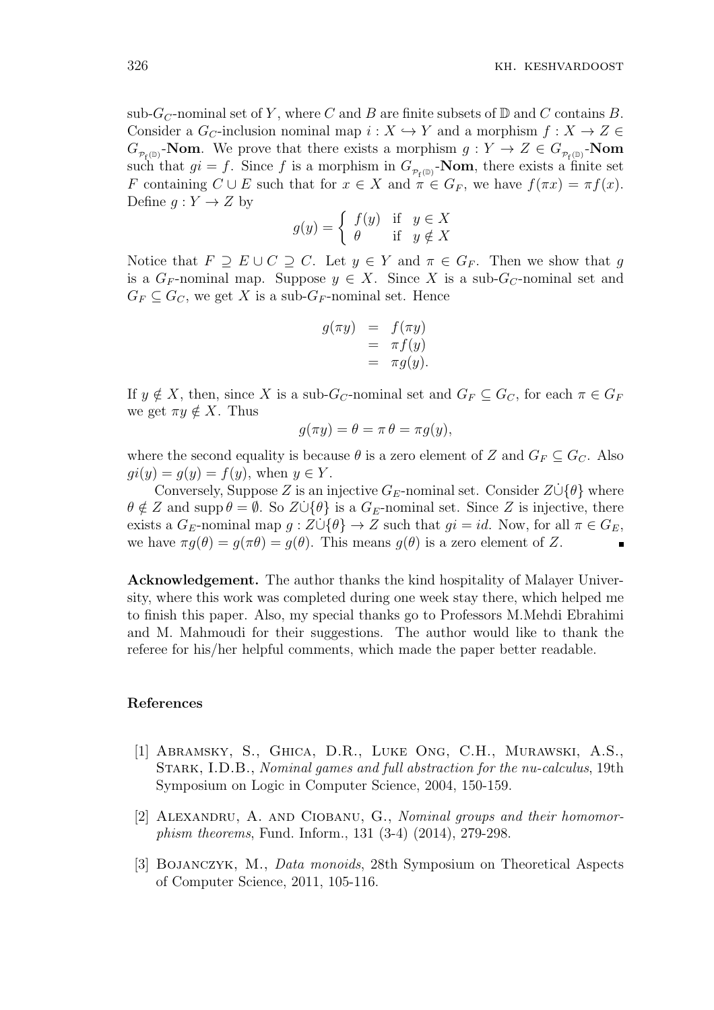sub- $G_C$ -nominal set of Y, where C and B are finite subsets of  $\mathbb D$  and C contains B. Consider a  $G_C$ -inclusion nominal map  $i: X \hookrightarrow Y$  and a morphism  $f: X \to Z \in$  $G_{\mathcal{P}_{f}(\mathbb{D})}$ **-Nom**. We prove that there exists a morphism  $g: Y \to Z \in G_{\mathcal{P}_{f}(\mathbb{D})}$ **-Nom** such that  $gi = f$ . Since f is a morphism in  $G_{\mathcal{P}_{f}(\mathbb{D})}$ -**Nom**, there exists a finite set *F* containing  $C \cup E$  such that for  $x \in X$  and  $\pi \in G_F$ , we have  $f(\pi x) = \pi f(x)$ . Define  $g: Y \to Z$  by

$$
g(y) = \begin{cases} f(y) & \text{if } y \in X \\ \theta & \text{if } y \notin X \end{cases}
$$

Notice that  $F \supseteq E \cup C \supseteq C$ . Let  $y \in Y$  and  $\pi \in G_F$ . Then we show that *g* is a  $G_F$ -nominal map. Suppose  $y \in X$ . Since X is a sub- $G_C$ -nominal set and  $G_F \subseteq G_C$ , we get *X* is a sub- $G_F$ -nominal set. Hence

$$
g(\pi y) = f(\pi y)
$$
  
=  $\pi f(y)$   
=  $\pi g(y)$ .

If  $y \notin X$ , then, since *X* is a sub- $G_C$ -nominal set and  $G_F \subseteq G_C$ , for each  $\pi \in G_F$ we get  $\pi y \notin X$ . Thus

$$
g(\pi y) = \theta = \pi \theta = \pi g(y),
$$

where the second equality is because  $\theta$  is a zero element of *Z* and  $G_F \subseteq G_C$ . Also  $qi(y) = q(y) = f(y)$ , when  $y \in Y$ .

Conversely, Suppose *Z* is an injective  $G_E$ -nominal set. Consider  $Z \cup \{\theta\}$  where  $\theta \notin Z$  and supp  $\theta = \emptyset$ . So  $Z \cup {\theta}$  is a  $G_E$ -nominal set. Since *Z* is injective, there exists a  $G_E$ -nominal map  $g: Z \cup \{ \theta \} \to Z$  such that  $gi = id$ . Now, for all  $\pi \in G_E$ , we have  $\pi g(\theta) = g(\pi \theta) = g(\theta)$ . This means  $g(\theta)$  is a zero element of *Z*.

**Acknowledgement.** The author thanks the kind hospitality of Malayer University, where this work was completed during one week stay there, which helped me to finish this paper. Also, my special thanks go to Professors M.Mehdi Ebrahimi and M. Mahmoudi for their suggestions. The author would like to thank the referee for his/her helpful comments, which made the paper better readable.

## **References**

- [1] Abramsky, S., Ghica, D.R., Luke Ong, C.H., Murawski, A.S., Stark, I.D.B., *Nominal games and full abstraction for the nu-calculus*, 19th Symposium on Logic in Computer Science, 2004, 150-159.
- [2] Alexandru, A. and Ciobanu, G., *Nominal groups and their homomorphism theorems*, Fund. Inform., 131 (3-4) (2014), 279-298.
- [3] Bojanczyk, M., *Data monoids*, 28th Symposium on Theoretical Aspects of Computer Science, 2011, 105-116.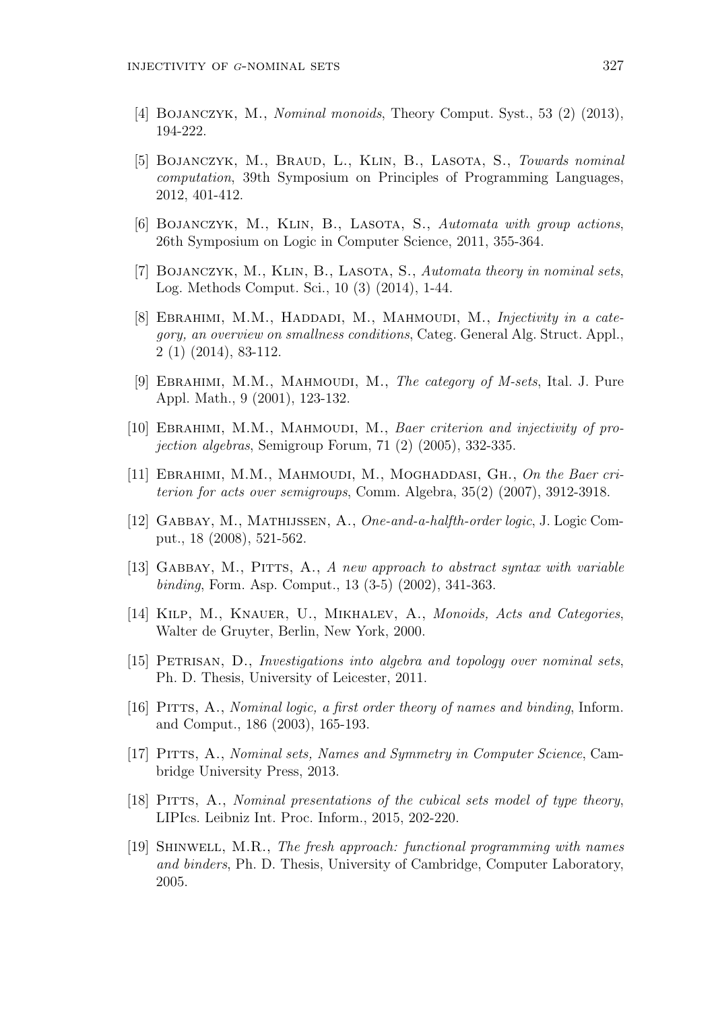- [4] Bojanczyk, M., *Nominal monoids*, Theory Comput. Syst., 53 (2) (2013), 194-222.
- [5] Bojanczyk, M., Braud, L., Klin, B., Lasota, S., *Towards nominal computation*, 39th Symposium on Principles of Programming Languages, 2012, 401-412.
- [6] Bojanczyk, M., Klin, B., Lasota, S., *Automata with group actions*, 26th Symposium on Logic in Computer Science, 2011, 355-364.
- [7] Bojanczyk, M., Klin, B., Lasota, S., *Automata theory in nominal sets*, Log. Methods Comput. Sci., 10 (3) (2014), 1-44.
- [8] EBRAHIMI, M.M., HADDADI, M., MAHMOUDI, M., *Injectivity in a category, an overview on smallness conditions*, Categ. General Alg. Struct. Appl., 2 (1) (2014), 83-112.
- [9] EBRAHIMI, M.M., MAHMOUDI, M., *The category of M-sets*, Ital. J. Pure Appl. Math., 9 (2001), 123-132.
- [10] EBRAHIMI, M.M., MAHMOUDI, M., *Baer criterion and injectivity of projection algebras*, Semigroup Forum, 71 (2) (2005), 332-335.
- [11] EBRAHIMI, M.M., MAHMOUDI, M., MOGHADDASI, GH., On the Baer cri*terion for acts over semigroups*, Comm. Algebra, 35(2) (2007), 3912-3918.
- [12] Gabbay, M., Mathijssen, A., *One-and-a-halfth-order logic*, J. Logic Comput., 18 (2008), 521-562.
- [13] Gabbay, M., Pitts, A., *A new approach to abstract syntax with variable binding*, Form. Asp. Comput., 13 (3-5) (2002), 341-363.
- [14] Kilp, M., Knauer, U., Mikhalev, A., *Monoids, Acts and Categories*, Walter de Gruyter, Berlin, New York, 2000.
- [15] Petrisan, D., *Investigations into algebra and topology over nominal sets*, Ph. D. Thesis, University of Leicester, 2011.
- [16] Pitts, A., *Nominal logic, a first order theory of names and binding*, Inform. and Comput., 186 (2003), 165-193.
- [17] Pitts, A., *Nominal sets, Names and Symmetry in Computer Science*, Cambridge University Press, 2013.
- [18] PITTS, A., *Nominal presentations of the cubical sets model of type theory*, LIPIcs. Leibniz Int. Proc. Inform., 2015, 202-220.
- [19] Shinwell, M.R., *The fresh approach: functional programming with names and binders*, Ph. D. Thesis, University of Cambridge, Computer Laboratory, 2005.